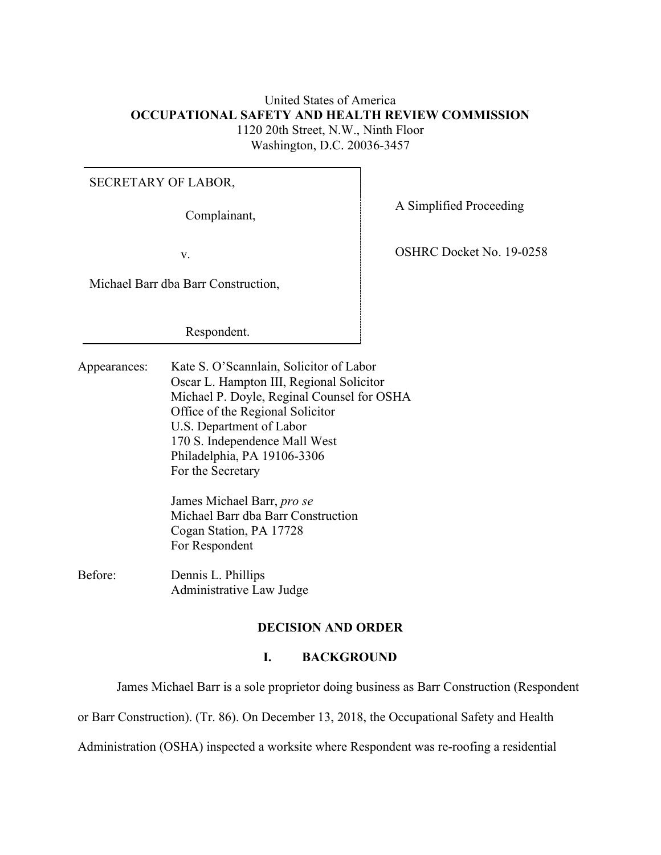# United States of America **OCCUPATIONAL SAFETY AND HEALTH REVIEW COMMISSION** 1120 20th Street, N.W., Ninth Floor Washington, D.C. 20036-3457

#### SECRETARY OF LABOR,

Michael Barr dba Barr Construction,

Respondent.

Appearances: Kate S. O'Scannlain, Solicitor of Labor Oscar L. Hampton III, Regional Solicitor Michael P. Doyle, Reginal Counsel for OSHA Office of the Regional Solicitor U.S. Department of Labor 170 S. Independence Mall West Philadelphia, PA 19106-3306 For the Secretary

> James Michael Barr, *pro se* Michael Barr dba Barr Construction Cogan Station, PA 17728 For Respondent

Before: Dennis L. Phillips Administrative Law Judge

## **DECISION AND ORDER**

#### **I.****BACKGROUND**

James Michael Barr is a sole proprietor doing business as Barr Construction (Respondent

or Barr Construction). (Tr. 86). On December 13, 2018, the Occupational Safety and Health

Administration (OSHA) inspected a worksite where Respondent was re-roofing a residential

Complainant, A Simplified Proceeding

v. Solution of the COSHRC Docket No. 19-0258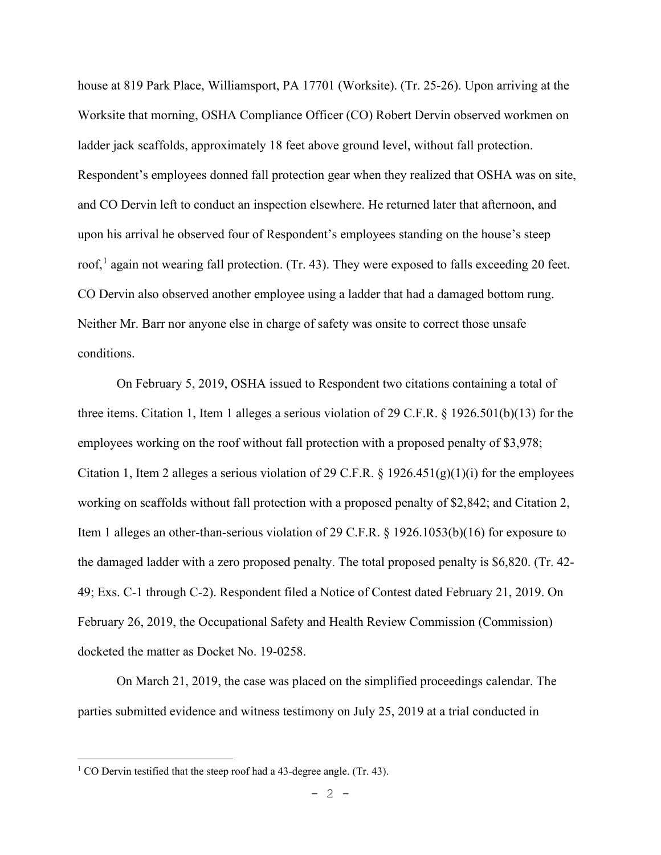house at 819 Park Place, Williamsport, PA 17701 (Worksite). (Tr. 25-26). Upon arriving at the Worksite that morning, OSHA Compliance Officer (CO) Robert Dervin observed workmen on ladder jack scaffolds, approximately 18 feet above ground level, without fall protection. Respondent's employees donned fall protection gear when they realized that OSHA was on site, and CO Dervin left to conduct an inspection elsewhere. He returned later that afternoon, and upon his arrival he observed four of Respondent's employees standing on the house's steep roof,<sup>[1](#page-1-0)</sup> again not wearing fall protection. (Tr. 43). They were exposed to falls exceeding 20 feet. CO Dervin also observed another employee using a ladder that had a damaged bottom rung. Neither Mr. Barr nor anyone else in charge of safety was onsite to correct those unsafe conditions.

 On February 5, 2019, OSHA issued to Respondent two citations containing a total of three items. Citation 1, Item 1 alleges a serious violation of 29 C.F.R. § 1926.501(b)(13) for the employees working on the roof without fall protection with a proposed penalty of \$3,978; Citation 1, Item 2 alleges a serious violation of 29 C.F.R. § 1926.451(g)(1)(i) for the employees working on scaffolds without fall protection with a proposed penalty of \$2,842; and Citation 2, Item 1 alleges an other-than-serious violation of 29 C.F.R. § 1926.1053(b)(16) for exposure to the damaged ladder with a zero proposed penalty. The total proposed penalty is \$6,820. (Tr. 42- 49; Exs. C-1 through C-2). Respondent filed a Notice of Contest dated February 21, 2019. On February 26, 2019, the Occupational Safety and Health Review Commission (Commission) docketed the matter as Docket No. 19-0258.

 On March 21, 2019, the case was placed on the simplified proceedings calendar. The parties submitted evidence and witness testimony on July 25, 2019 at a trial conducted in

<span id="page-1-0"></span><sup>&</sup>lt;sup>1</sup> CO Dervin testified that the steep roof had a 43-degree angle. (Tr. 43).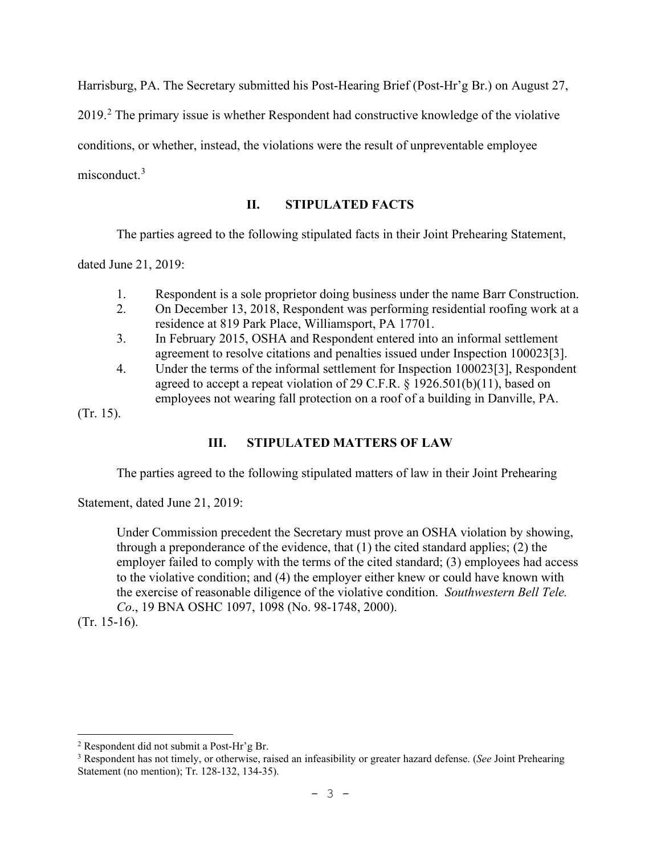Harrisburg, PA. The Secretary submitted his Post-Hearing Brief (Post-Hr'g Br.) on August 27,

[2](#page-2-0)019.<sup>2</sup> The primary issue is whether Respondent had constructive knowledge of the violative

conditions, or whether, instead, the violations were the result of unpreventable employee

misconduct.<sup>[3](#page-2-1)</sup>

# **II. STIPULATED FACTS**

The parties agreed to the following stipulated facts in their Joint Prehearing Statement,

dated June 21, 2019:

- 1. Respondent is a sole proprietor doing business under the name Barr Construction.
- 2. On December 13, 2018, Respondent was performing residential roofing work at a residence at 819 Park Place, Williamsport, PA 17701.
- 3. In February 2015, OSHA and Respondent entered into an informal settlement agreement to resolve citations and penalties issued under Inspection 100023[3].
- 4. Under the terms of the informal settlement for Inspection 100023[3], Respondent agreed to accept a repeat violation of 29 C.F.R. § 1926.501(b)(11), based on employees not wearing fall protection on a roof of a building in Danville, PA.

(Tr. 15).

# **III. STIPULATED MATTERS OF LAW**

The parties agreed to the following stipulated matters of law in their Joint Prehearing

Statement, dated June 21, 2019:

Under Commission precedent the Secretary must prove an OSHA violation by showing, through a preponderance of the evidence, that (1) the cited standard applies; (2) the employer failed to comply with the terms of the cited standard; (3) employees had access to the violative condition; and (4) the employer either knew or could have known with the exercise of reasonable diligence of the violative condition. *Southwestern Bell Tele. Co*., 19 BNA OSHC 1097, 1098 (No. 98-1748, 2000).

(Tr. 15-16).

<span id="page-2-0"></span><sup>2</sup> Respondent did not submit a Post-Hr'g Br.

<span id="page-2-1"></span><sup>3</sup> Respondent has not timely, or otherwise, raised an infeasibility or greater hazard defense. (*See* Joint Prehearing Statement (no mention); Tr. 128-132, 134-35).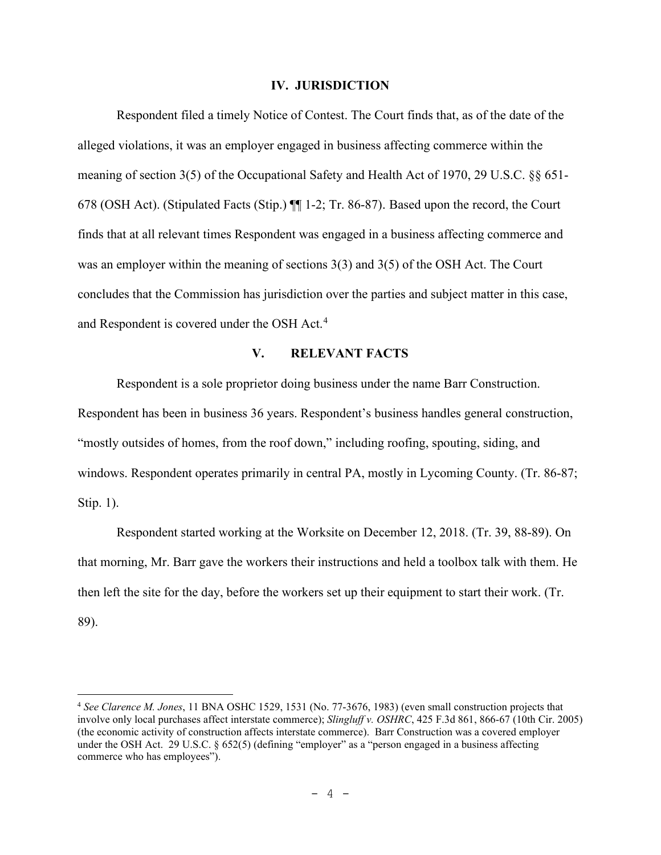#### **IV. JURISDICTION**

Respondent filed a timely Notice of Contest. The Court finds that, as of the date of the alleged violations, it was an employer engaged in business affecting commerce within the meaning of section 3(5) of the Occupational Safety and Health Act of 1970, 29 U.S.C. §§ 651- 678 (OSH Act). (Stipulated Facts (Stip.) ¶¶ 1-2; Tr. 86-87). Based upon the record, the Court finds that at all relevant times Respondent was engaged in a business affecting commerce and was an employer within the meaning of sections 3(3) and 3(5) of the OSH Act. The Court concludes that the Commission has jurisdiction over the parties and subject matter in this case, and Respondent is covered under the OSH Act.<sup>[4](#page-3-0)</sup>

## **V. RELEVANT FACTS**

 Respondent is a sole proprietor doing business under the name Barr Construction. Respondent has been in business 36 years. Respondent's business handles general construction, "mostly outsides of homes, from the roof down," including roofing, spouting, siding, and windows. Respondent operates primarily in central PA, mostly in Lycoming County. (Tr. 86-87; Stip. 1).

Respondent started working at the Worksite on December 12, 2018. (Tr. 39, 88-89). On that morning, Mr. Barr gave the workers their instructions and held a toolbox talk with them. He then left the site for the day, before the workers set up their equipment to start their work. (Tr. 89).

<span id="page-3-0"></span><sup>4</sup> *See Clarence M. Jones*, 11 BNA OSHC 1529, 1531 (No. 77-3676, 1983) (even small construction projects that involve only local purchases affect interstate commerce); *Slingluff v. OSHRC*, 425 F.3d 861, 866-67 (10th Cir. 2005) (the economic activity of construction affects interstate commerce). Barr Construction was a covered employer under the OSH Act. 29 U.S.C. § 652(5) (defining "employer" as a "person engaged in a business affecting commerce who has employees").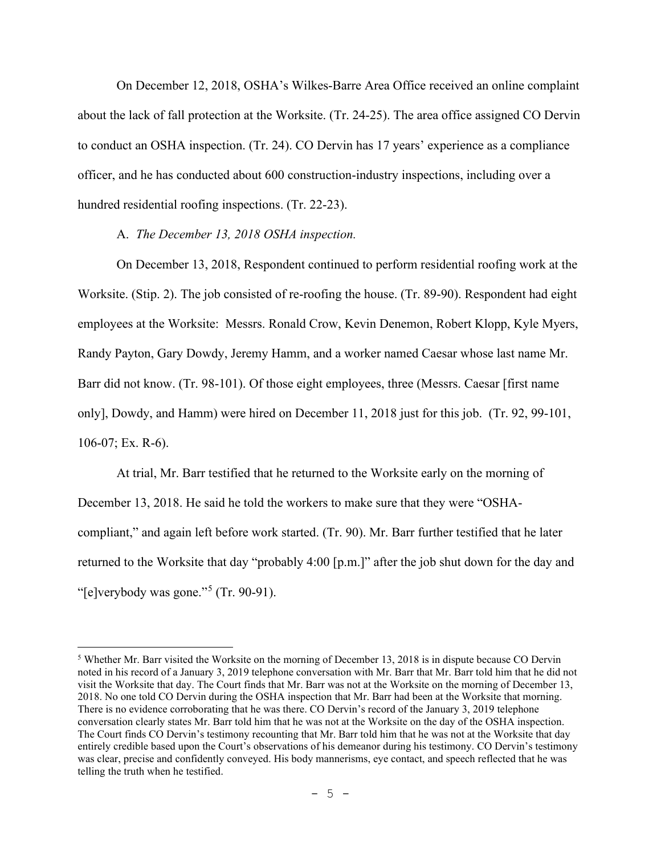On December 12, 2018, OSHA's Wilkes-Barre Area Office received an online complaint about the lack of fall protection at the Worksite. (Tr. 24-25). The area office assigned CO Dervin to conduct an OSHA inspection. (Tr. 24). CO Dervin has 17 years' experience as a compliance officer, and he has conducted about 600 construction-industry inspections, including over a hundred residential roofing inspections. (Tr. 22-23).

A. *The December 13, 2018 OSHA inspection.*

On December 13, 2018, Respondent continued to perform residential roofing work at the Worksite. (Stip. 2). The job consisted of re-roofing the house. (Tr. 89-90). Respondent had eight employees at the Worksite: Messrs. Ronald Crow, Kevin Denemon, Robert Klopp, Kyle Myers, Randy Payton, Gary Dowdy, Jeremy Hamm, and a worker named Caesar whose last name Mr. Barr did not know. (Tr. 98-101). Of those eight employees, three (Messrs. Caesar [first name only], Dowdy, and Hamm) were hired on December 11, 2018 just for this job. (Tr. 92, 99-101, 106-07; Ex. R-6).

At trial, Mr. Barr testified that he returned to the Worksite early on the morning of December 13, 2018. He said he told the workers to make sure that they were "OSHAcompliant," and again left before work started. (Tr. 90). Mr. Barr further testified that he later returned to the Worksite that day "probably 4:00 [p.m.]" after the job shut down for the day and "[e]verybody was gone."[5](#page-4-0) (Tr. 90-91).

<span id="page-4-0"></span><sup>5</sup> Whether Mr. Barr visited the Worksite on the morning of December 13, 2018 is in dispute because CO Dervin noted in his record of a January 3, 2019 telephone conversation with Mr. Barr that Mr. Barr told him that he did not visit the Worksite that day. The Court finds that Mr. Barr was not at the Worksite on the morning of December 13, 2018. No one told CO Dervin during the OSHA inspection that Mr. Barr had been at the Worksite that morning. There is no evidence corroborating that he was there. CO Dervin's record of the January 3, 2019 telephone conversation clearly states Mr. Barr told him that he was not at the Worksite on the day of the OSHA inspection. The Court finds CO Dervin's testimony recounting that Mr. Barr told him that he was not at the Worksite that day entirely credible based upon the Court's observations of his demeanor during his testimony. CO Dervin's testimony was clear, precise and confidently conveyed. His body mannerisms, eye contact, and speech reflected that he was telling the truth when he testified.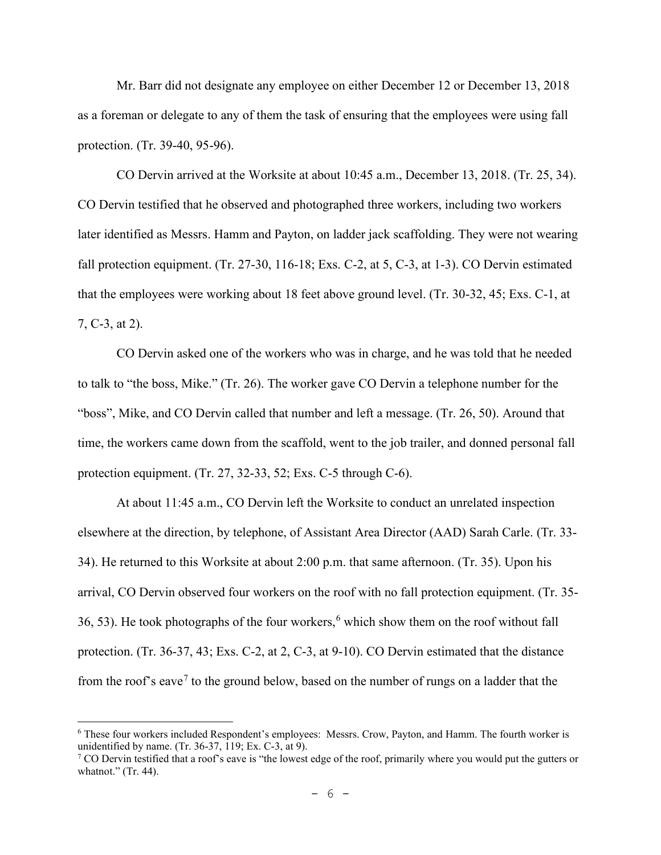Mr. Barr did not designate any employee on either December 12 or December 13, 2018 as a foreman or delegate to any of them the task of ensuring that the employees were using fall protection. (Tr. 39-40, 95-96).

CO Dervin arrived at the Worksite at about 10:45 a.m., December 13, 2018. (Tr. 25, 34). CO Dervin testified that he observed and photographed three workers, including two workers later identified as Messrs. Hamm and Payton, on ladder jack scaffolding. They were not wearing fall protection equipment. (Tr. 27-30, 116-18; Exs. C-2, at 5, C-3, at 1-3). CO Dervin estimated that the employees were working about 18 feet above ground level. (Tr. 30-32, 45; Exs. C-1, at 7, C-3, at 2).

 CO Dervin asked one of the workers who was in charge, and he was told that he needed to talk to "the boss, Mike." (Tr. 26). The worker gave CO Dervin a telephone number for the "boss", Mike, and CO Dervin called that number and left a message. (Tr. 26, 50). Around that time, the workers came down from the scaffold, went to the job trailer, and donned personal fall protection equipment. (Tr. 27, 32-33, 52; Exs. C-5 through C-6).

 At about 11:45 a.m., CO Dervin left the Worksite to conduct an unrelated inspection elsewhere at the direction, by telephone, of Assistant Area Director (AAD) Sarah Carle. (Tr. 33- 34). He returned to this Worksite at about 2:00 p.m. that same afternoon. (Tr. 35). Upon his arrival, CO Dervin observed four workers on the roof with no fall protection equipment. (Tr. 35- 3[6](#page-5-0), 53). He took photographs of the four workers,  $6$  which show them on the roof without fall protection. (Tr. 36-37, 43; Exs. C-2, at 2, C-3, at 9-10). CO Dervin estimated that the distance from the roof's eave<sup>[7](#page-5-1)</sup> to the ground below, based on the number of rungs on a ladder that the

<span id="page-5-0"></span><sup>6</sup> These four workers included Respondent's employees: Messrs. Crow, Payton, and Hamm. The fourth worker is unidentified by name. (Tr. 36-37, 119; Ex. C-3, at 9).

<span id="page-5-1"></span><sup>&</sup>lt;sup>7</sup> CO Dervin testified that a roof's eave is "the lowest edge of the roof, primarily where you would put the gutters or whatnot." (Tr. 44).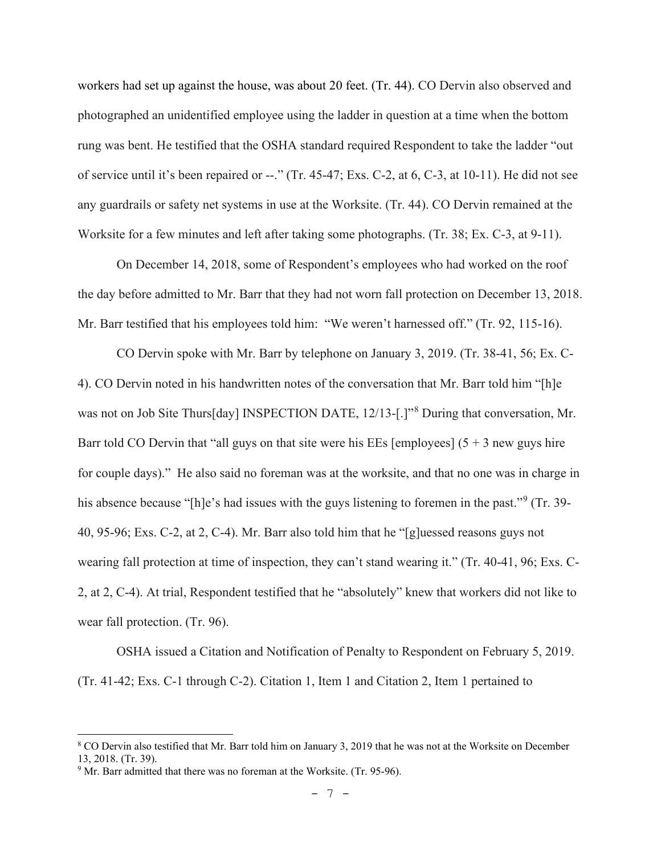workers had set up against the house, was about 20 feet. (Tr. 44). CO Dervin also observed and photographed an unidentified employee using the ladder in question at a time when the bottom rung was bent. He testified that the OSHA standard required Respondent to take the ladder "out of service until it's been repaired or --." (Tr. 45-47; Exs. C-2, at 6, C-3, at 10-11). He did not see any guardrails or safety net systems in use at the Worksite. (Tr. 44). CO Dervin remained at the Worksite for a few minutes and left after taking some photographs. (Tr. 38; Ex. C-3, at 9-11).

 On December 14, 2018, some of Respondent's employees who had worked on the roof the day before admitted to Mr. Barr that they had not worn fall protection on December 13, 2018. Mr. Barr testified that his employees told him: "We weren't harnessed off." (Tr. 92, 115-16).

 CO Dervin spoke with Mr. Barr by telephone on January 3, 2019. (Tr. 38-41, 56; Ex. C-4). CO Dervin noted in his handwritten notes of the conversation that Mr. Barr told him "[h]e was not on Job Site Thurs[day] INSPECTION DATE, 12/13-[.]"<sup>[8](#page-6-0)</sup> During that conversation, Mr. Barr told CO Dervin that "all guys on that site were his EEs [employees]  $(5 + 3$  new guys hire for couple days)." He also said no foreman was at the worksite, and that no one was in charge in his absence because "[h]e's had issues with the guys listening to foremen in the past."<sup>[9](#page-6-1)</sup> (Tr. 39-40, 95-96; Exs. C-2, at 2, C-4). Mr. Barr also told him that he "[g]uessed reasons guys not wearing fall protection at time of inspection, they can't stand wearing it." (Tr. 40-41, 96; Exs. C-2, at 2, C-4). At trial, Respondent testified that he "absolutely" knew that workers did not like to wear fall protection. (Tr. 96).

 OSHA issued a Citation and Notification of Penalty to Respondent on February 5, 2019. (Tr. 41-42; Exs. C-1 through C-2). Citation 1, Item 1 and Citation 2, Item 1 pertained to

<span id="page-6-0"></span><sup>8</sup> CO Dervin also testified that Mr. Barr told him on January 3, 2019 that he was not at the Worksite on December 13, 2018. (Tr. 39).

<span id="page-6-1"></span><sup>&</sup>lt;sup>9</sup> Mr. Barr admitted that there was no foreman at the Worksite. (Tr. 95-96).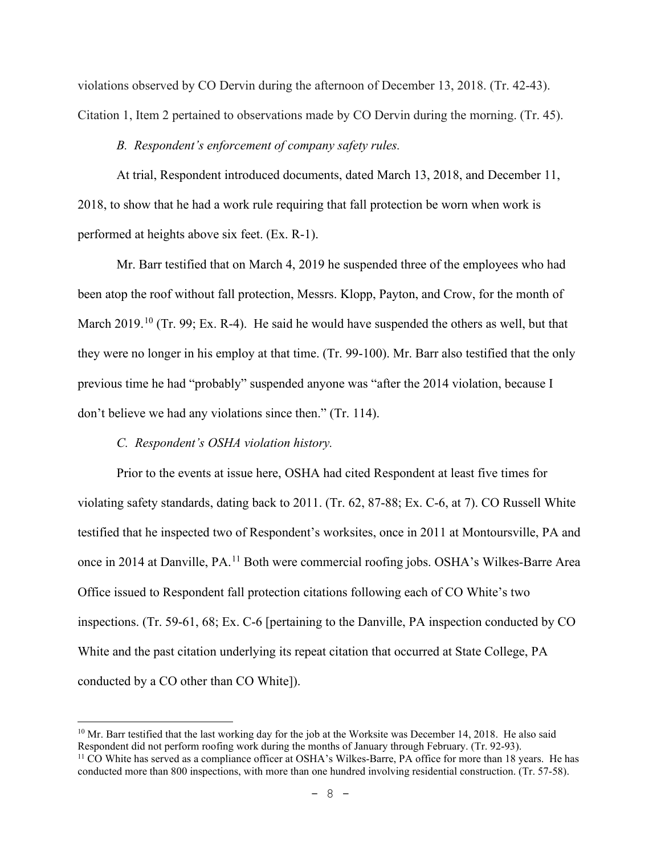violations observed by CO Dervin during the afternoon of December 13, 2018. (Tr. 42-43). Citation 1, Item 2 pertained to observations made by CO Dervin during the morning. (Tr. 45).

### *B. Respondent's enforcement of company safety rules.*

At trial, Respondent introduced documents, dated March 13, 2018, and December 11, 2018, to show that he had a work rule requiring that fall protection be worn when work is performed at heights above six feet. (Ex. R-1).

Mr. Barr testified that on March 4, 2019 he suspended three of the employees who had been atop the roof without fall protection, Messrs. Klopp, Payton, and Crow, for the month of March 2019.<sup>10</sup> (Tr. 99; Ex. R-4). He said he would have suspended the others as well, but that they were no longer in his employ at that time. (Tr. 99-100). Mr. Barr also testified that the only previous time he had "probably" suspended anyone was "after the 2014 violation, because I don't believe we had any violations since then." (Tr. 114).

## *C. Respondent's OSHA violation history.*

Prior to the events at issue here, OSHA had cited Respondent at least five times for violating safety standards, dating back to 2011. (Tr. 62, 87-88; Ex. C-6, at 7). CO Russell White testified that he inspected two of Respondent's worksites, once in 2011 at Montoursville, PA and once in 2014 at Danville, PA.<sup>11</sup> Both were commercial roofing jobs. OSHA's Wilkes-Barre Area Office issued to Respondent fall protection citations following each of CO White's two inspections. (Tr. 59-61, 68; Ex. C-6 [pertaining to the Danville, PA inspection conducted by CO White and the past citation underlying its repeat citation that occurred at State College, PA conducted by a CO other than CO White]).

<span id="page-7-0"></span> $10$  Mr. Barr testified that the last working day for the job at the Worksite was December 14, 2018. He also said Respondent did not perform roofing work during the months of January through February. (Tr. 92-93).

<span id="page-7-1"></span><sup>&</sup>lt;sup>11</sup> CO White has served as a compliance officer at OSHA's Wilkes-Barre, PA office for more than 18 years. He has conducted more than 800 inspections, with more than one hundred involving residential construction. (Tr. 57-58).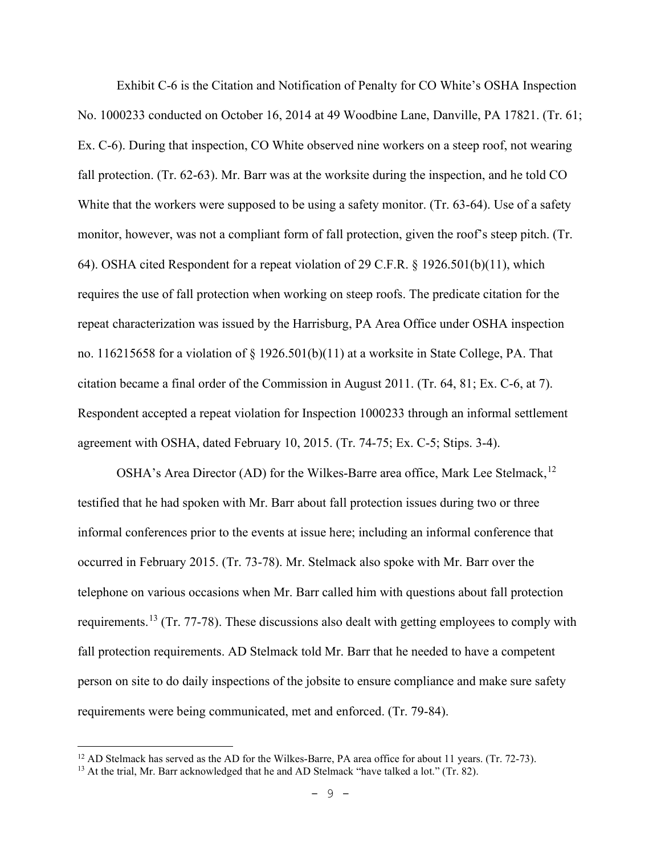Exhibit C-6 is the Citation and Notification of Penalty for CO White's OSHA Inspection No. 1000233 conducted on October 16, 2014 at 49 Woodbine Lane, Danville, PA 17821. (Tr. 61; Ex. C-6). During that inspection, CO White observed nine workers on a steep roof, not wearing fall protection. (Tr. 62-63). Mr. Barr was at the worksite during the inspection, and he told CO White that the workers were supposed to be using a safety monitor. (Tr. 63-64). Use of a safety monitor, however, was not a compliant form of fall protection, given the roof's steep pitch. (Tr. 64). OSHA cited Respondent for a repeat violation of 29 C.F.R. § 1926.501(b)(11), which requires the use of fall protection when working on steep roofs. The predicate citation for the repeat characterization was issued by the Harrisburg, PA Area Office under OSHA inspection no. 116215658 for a violation of § 1926.501(b)(11) at a worksite in State College, PA. That citation became a final order of the Commission in August 2011. (Tr. 64, 81; Ex. C-6, at 7). Respondent accepted a repeat violation for Inspection 1000233 through an informal settlement agreement with OSHA, dated February 10, 2015. (Tr. 74-75; Ex. C-5; Stips. 3-4).

OSHA's Area Director (AD) for the Wilkes-Barre area office, Mark Lee Stelmack,  $^{12}$  $^{12}$  $^{12}$ testified that he had spoken with Mr. Barr about fall protection issues during two or three informal conferences prior to the events at issue here; including an informal conference that occurred in February 2015. (Tr. 73-78). Mr. Stelmack also spoke with Mr. Barr over the telephone on various occasions when Mr. Barr called him with questions about fall protection requirements.<sup>[13](#page-8-1)</sup> (Tr. 77-78). These discussions also dealt with getting employees to comply with fall protection requirements. AD Stelmack told Mr. Barr that he needed to have a competent person on site to do daily inspections of the jobsite to ensure compliance and make sure safety requirements were being communicated, met and enforced. (Tr. 79-84).

<span id="page-8-0"></span><sup>&</sup>lt;sup>12</sup> AD Stelmack has served as the AD for the Wilkes-Barre, PA area office for about 11 years. (Tr. 72-73).

<span id="page-8-1"></span><sup>&</sup>lt;sup>13</sup> At the trial, Mr. Barr acknowledged that he and AD Stelmack "have talked a lot." (Tr. 82).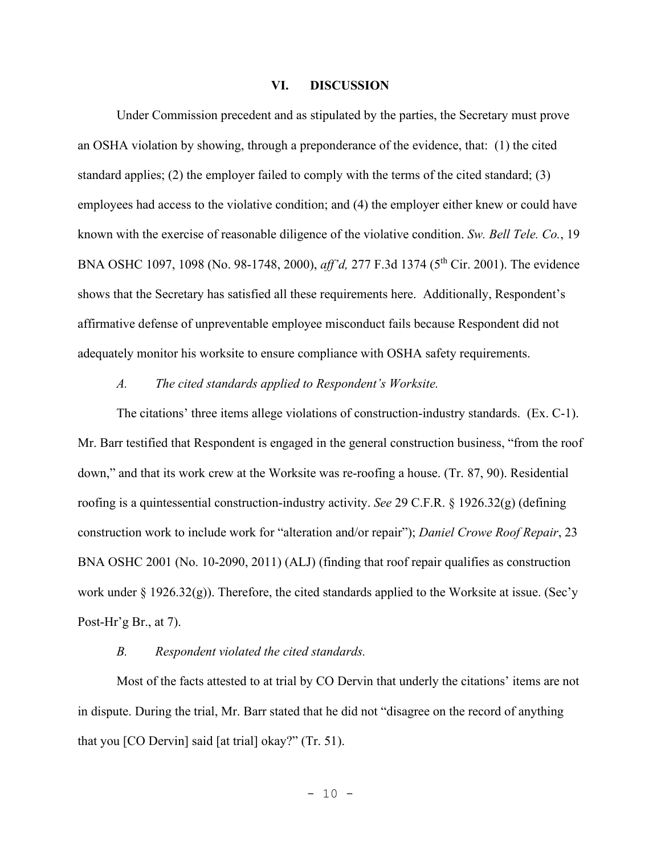#### **VI. DISCUSSION**

Under Commission precedent and as stipulated by the parties, the Secretary must prove an OSHA violation by showing, through a preponderance of the evidence, that: (1) the cited standard applies; (2) the employer failed to comply with the terms of the cited standard; (3) employees had access to the violative condition; and (4) the employer either knew or could have known with the exercise of reasonable diligence of the violative condition. *Sw. Bell Tele. Co.*, 19 BNA OSHC 1097, 1098 (No. 98-1748, 2000), *aff'd,* 277 F.3d 1374 (5th Cir. 2001). The evidence shows that the Secretary has satisfied all these requirements here. Additionally, Respondent's affirmative defense of unpreventable employee misconduct fails because Respondent did not adequately monitor his worksite to ensure compliance with OSHA safety requirements.

## *A. The cited standards applied to Respondent's Worksite.*

The citations' three items allege violations of construction-industry standards. (Ex. C-1). Mr. Barr testified that Respondent is engaged in the general construction business, "from the roof down," and that its work crew at the Worksite was re-roofing a house. (Tr. 87, 90). Residential roofing is a quintessential construction-industry activity. *See* 29 C.F.R. § 1926.32(g) (defining construction work to include work for "alteration and/or repair"); *Daniel Crowe Roof Repair*, 23 BNA OSHC 2001 (No. 10-2090, 2011) (ALJ) (finding that roof repair qualifies as construction work under  $\S$  1926.32(g)). Therefore, the cited standards applied to the Worksite at issue. (Sec'y Post-Hr'g Br., at 7).

#### *B. Respondent violated the cited standards.*

Most of the facts attested to at trial by CO Dervin that underly the citations' items are not in dispute. During the trial, Mr. Barr stated that he did not "disagree on the record of anything that you [CO Dervin] said [at trial] okay?" (Tr. 51).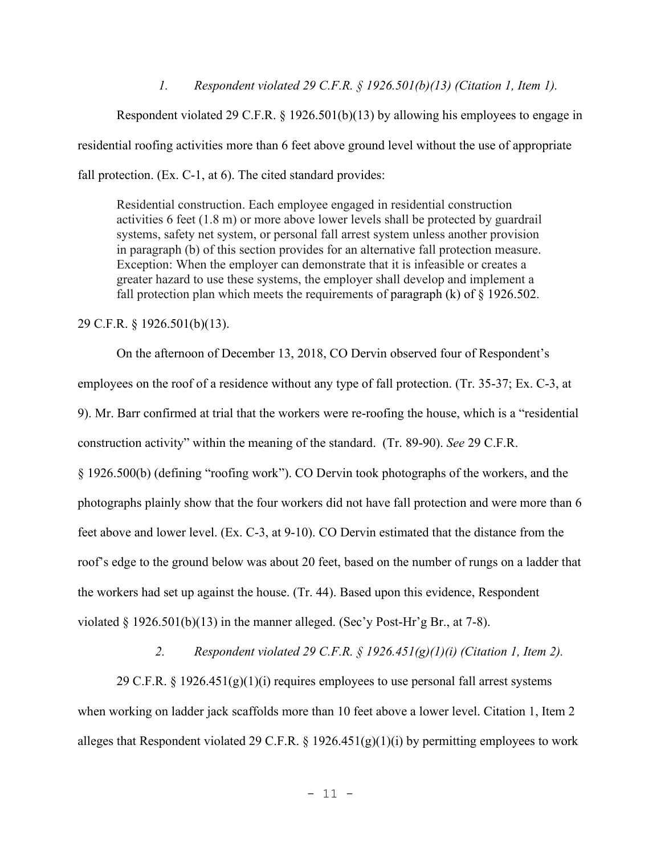*1. Respondent violated 29 C.F.R. § 1926.501(b)(13) (Citation 1, Item 1).* 

 Respondent violated 29 C.F.R. § 1926.501(b)(13) by allowing his employees to engage in residential roofing activities more than 6 feet above ground level without the use of appropriate fall protection. (Ex. C-1, at 6). The cited standard provides:

Residential construction. Each employee engaged in residential construction activities 6 feet (1.8 m) or more above lower levels shall be protected by guardrail systems, safety net system, or personal fall arrest system unless another provision in paragraph (b) of this section provides for an alternative fall protection measure. Exception: When the employer can demonstrate that it is infeasible or creates a greater hazard to use these systems, the employer shall develop and implement a fall protection plan which meets the requirements of paragraph  $(k)$  of  $\S$  1926.502.

29 C.F.R. § 1926.501(b)(13).

 On the afternoon of December 13, 2018, CO Dervin observed four of Respondent's employees on the roof of a residence without any type of fall protection. (Tr. 35-37; Ex. C-3, at 9). Mr. Barr confirmed at trial that the workers were re-roofing the house, which is a "residential construction activity" within the meaning of the standard. (Tr. 89-90). *See* 29 C.F.R. § 1926.500(b) (defining "roofing work"). CO Dervin took photographs of the workers, and the photographs plainly show that the four workers did not have fall protection and were more than 6 feet above and lower level. (Ex. C-3, at 9-10). CO Dervin estimated that the distance from the roof's edge to the ground below was about 20 feet, based on the number of rungs on a ladder that the workers had set up against the house. (Tr. 44). Based upon this evidence, Respondent violated § 1926.501(b)(13) in the manner alleged. (Sec'y Post-Hr'g Br., at 7-8).

*2. Respondent violated 29 C.F.R. § 1926.451(g)(1)(i) (Citation 1, Item 2).* 

29 C.F.R. § 1926.451(g)(1)(i) requires employees to use personal fall arrest systems when working on ladder jack scaffolds more than 10 feet above a lower level. Citation 1, Item 2 alleges that Respondent violated 29 C.F.R. § 1926.451(g)(1)(i) by permitting employees to work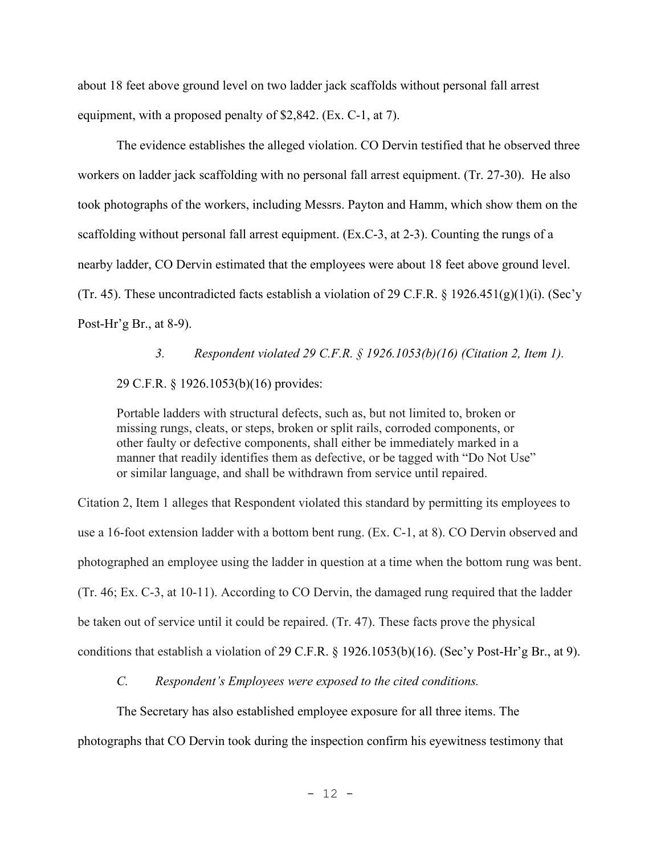about 18 feet above ground level on two ladder jack scaffolds without personal fall arrest equipment, with a proposed penalty of \$2,842. (Ex. C-1, at 7).

The evidence establishes the alleged violation. CO Dervin testified that he observed three workers on ladder jack scaffolding with no personal fall arrest equipment. (Tr. 27-30). He also took photographs of the workers, including Messrs. Payton and Hamm, which show them on the scaffolding without personal fall arrest equipment. (Ex.C-3, at 2-3). Counting the rungs of a nearby ladder, CO Dervin estimated that the employees were about 18 feet above ground level. (Tr. 45). These uncontradicted facts establish a violation of 29 C.F.R. § 1926.451(g)(1)(i). (Sec'y Post-Hr'g Br., at 8-9).

 *3. Respondent violated 29 C.F.R. § 1926.1053(b)(16) (Citation 2, Item 1).* 29 C.F.R. § 1926.1053(b)(16) provides:

Portable ladders with structural defects, such as, but not limited to, broken or missing rungs, cleats, or steps, broken or split rails, corroded components, or other faulty or defective components, shall either be immediately marked in a manner that readily identifies them as defective, or be tagged with "Do Not Use" or similar language, and shall be withdrawn from service until repaired.

Citation 2, Item 1 alleges that Respondent violated this standard by permitting its employees to use a 16-foot extension ladder with a bottom bent rung. (Ex. C-1, at 8). CO Dervin observed and photographed an employee using the ladder in question at a time when the bottom rung was bent. (Tr. 46; Ex. C-3, at 10-11). According to CO Dervin, the damaged rung required that the ladder be taken out of service until it could be repaired. (Tr. 47). These facts prove the physical conditions that establish a violation of 29 C.F.R. § 1926.1053(b)(16). (Sec'y Post-Hr'g Br., at 9).

*C. Respondent's Employees were exposed to the cited conditions.* 

The Secretary has also established employee exposure for all three items. The photographs that CO Dervin took during the inspection confirm his eyewitness testimony that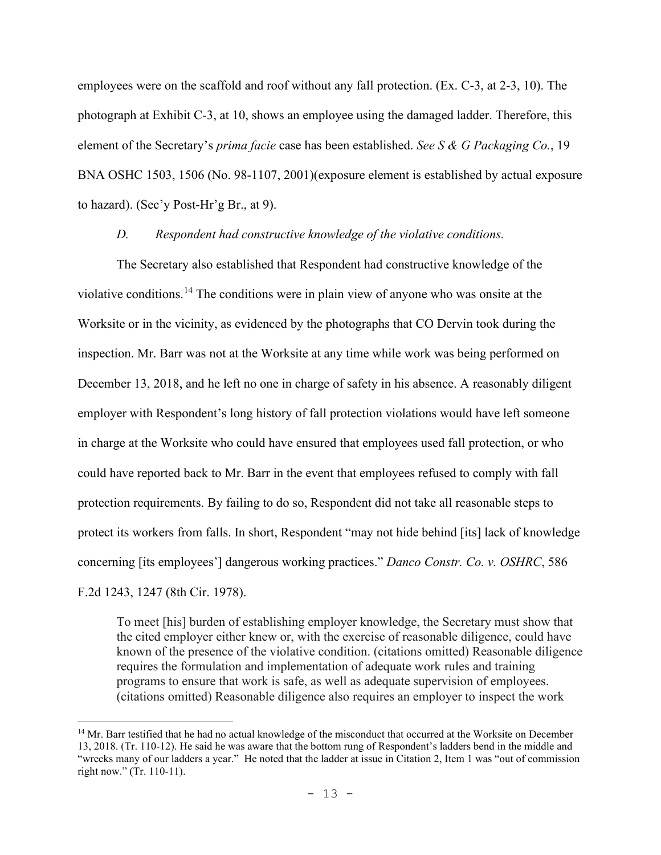employees were on the scaffold and roof without any fall protection. (Ex. C-3, at 2-3, 10). The photograph at Exhibit C-3, at 10, shows an employee using the damaged ladder. Therefore, this element of the Secretary's *prima facie* case has been established. *See S & G Packaging Co.*, 19 BNA OSHC 1503, 1506 (No. 98-1107, 2001)(exposure element is established by actual exposure to hazard). (Sec'y Post-Hr'g Br., at 9).

### *D. Respondent had constructive knowledge of the violative conditions.*

The Secretary also established that Respondent had constructive knowledge of the violative conditions.[14](#page-12-0) The conditions were in plain view of anyone who was onsite at the Worksite or in the vicinity, as evidenced by the photographs that CO Dervin took during the inspection. Mr. Barr was not at the Worksite at any time while work was being performed on December 13, 2018, and he left no one in charge of safety in his absence. A reasonably diligent employer with Respondent's long history of fall protection violations would have left someone in charge at the Worksite who could have ensured that employees used fall protection, or who could have reported back to Mr. Barr in the event that employees refused to comply with fall protection requirements. By failing to do so, Respondent did not take all reasonable steps to protect its workers from falls. In short, Respondent "may not hide behind [its] lack of knowledge concerning [its employees'] dangerous working practices." *Danco Constr. Co. v. OSHRC*, 586 F.2d 1243, 1247 (8th Cir. 1978).

To meet [his] burden of establishing employer knowledge, the Secretary must show that the cited employer either knew or, with the exercise of reasonable diligence, could have known of the presence of the violative condition. (citations omitted) Reasonable diligence requires the formulation and implementation of adequate work rules and training programs to ensure that work is safe, as well as adequate supervision of employees. (citations omitted) Reasonable diligence also requires an employer to inspect the work

<span id="page-12-0"></span><sup>&</sup>lt;sup>14</sup> Mr. Barr testified that he had no actual knowledge of the misconduct that occurred at the Worksite on December 13, 2018. (Tr. 110-12). He said he was aware that the bottom rung of Respondent's ladders bend in the middle and "wrecks many of our ladders a year." He noted that the ladder at issue in Citation 2, Item 1 was "out of commission right now." (Tr. 110-11).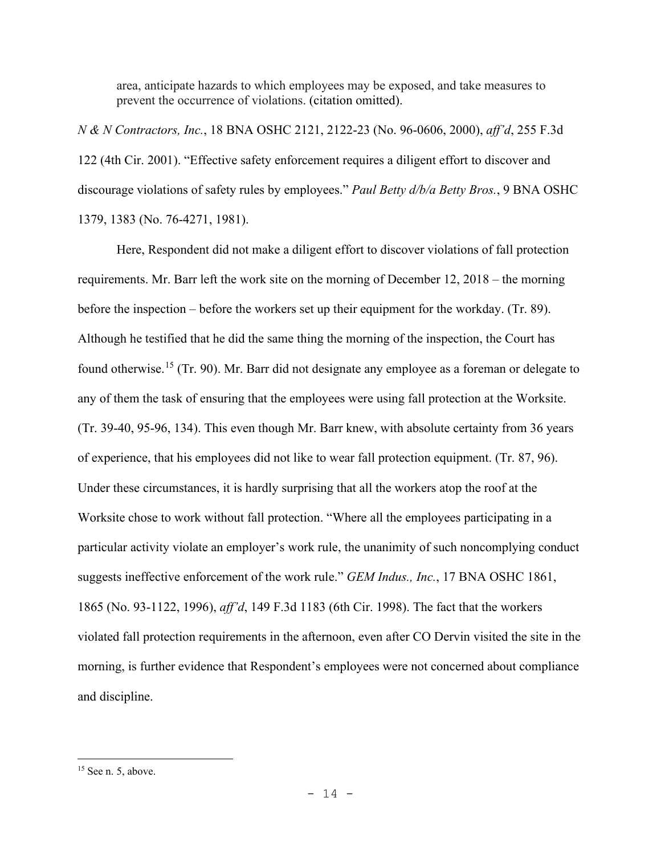area, anticipate hazards to which employees may be exposed, and take measures to prevent the occurrence of violations. (citation omitted).

*N & N Contractors, Inc.*, 18 BNA OSHC 2121, 2122-23 (No. 96-0606, 2000), *aff'd*, 255 F.3d 122 (4th Cir. 2001). "Effective safety enforcement requires a diligent effort to discover and discourage violations of safety rules by employees." *Paul Betty d/b/a Betty Bros.*, 9 BNA OSHC 1379, 1383 (No. 76-4271, 1981).

 Here, Respondent did not make a diligent effort to discover violations of fall protection requirements. Mr. Barr left the work site on the morning of December 12, 2018 – the morning before the inspection – before the workers set up their equipment for the workday. (Tr. 89). Although he testified that he did the same thing the morning of the inspection, the Court has found otherwise.<sup>[15](#page-13-0)</sup> (Tr. 90). Mr. Barr did not designate any employee as a foreman or delegate to any of them the task of ensuring that the employees were using fall protection at the Worksite. (Tr. 39-40, 95-96, 134). This even though Mr. Barr knew, with absolute certainty from 36 years of experience, that his employees did not like to wear fall protection equipment. (Tr. 87, 96). Under these circumstances, it is hardly surprising that all the workers atop the roof at the Worksite chose to work without fall protection. "Where all the employees participating in a particular activity violate an employer's work rule, the unanimity of such noncomplying conduct suggests ineffective enforcement of the work rule." *GEM Indus., Inc.*, 17 BNA OSHC 1861, 1865 (No. 93-1122, 1996), *aff'd*, 149 F.3d 1183 (6th Cir. 1998). The fact that the workers violated fall protection requirements in the afternoon, even after CO Dervin visited the site in the morning, is further evidence that Respondent's employees were not concerned about compliance and discipline.

<span id="page-13-0"></span><sup>&</sup>lt;sup>15</sup> See n. 5, above.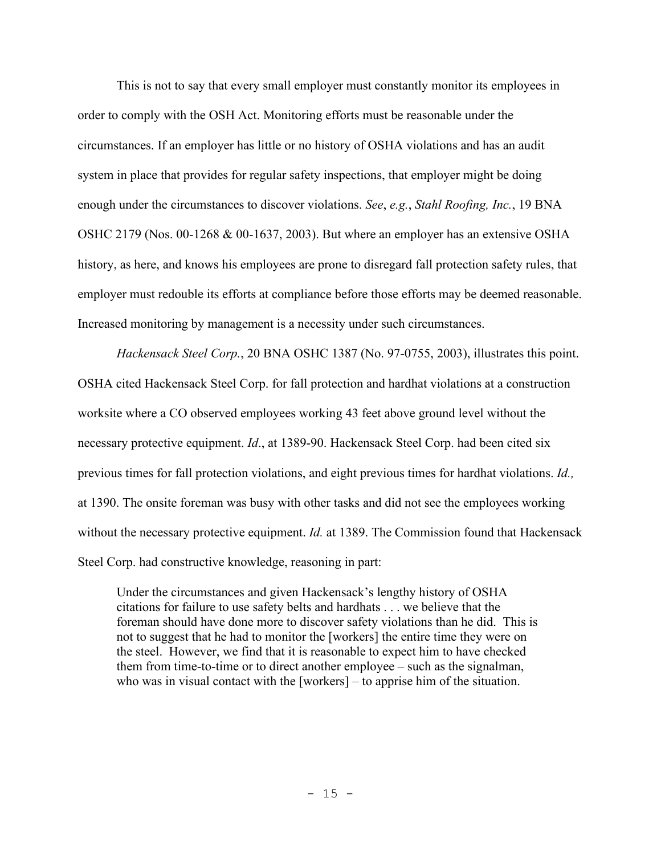This is not to say that every small employer must constantly monitor its employees in order to comply with the OSH Act. Monitoring efforts must be reasonable under the circumstances. If an employer has little or no history of OSHA violations and has an audit system in place that provides for regular safety inspections, that employer might be doing enough under the circumstances to discover violations. *See*, *e.g.*, *Stahl Roofing, Inc.*, 19 BNA OSHC 2179 (Nos. 00-1268 & 00-1637, 2003). But where an employer has an extensive OSHA history, as here, and knows his employees are prone to disregard fall protection safety rules, that employer must redouble its efforts at compliance before those efforts may be deemed reasonable. Increased monitoring by management is a necessity under such circumstances.

*Hackensack Steel Corp.*, 20 BNA OSHC 1387 (No. 97-0755, 2003), illustrates this point. OSHA cited Hackensack Steel Corp. for fall protection and hardhat violations at a construction worksite where a CO observed employees working 43 feet above ground level without the necessary protective equipment. *Id*., at 1389-90. Hackensack Steel Corp. had been cited six previous times for fall protection violations, and eight previous times for hardhat violations. *Id.,* at 1390. The onsite foreman was busy with other tasks and did not see the employees working without the necessary protective equipment. *Id.* at 1389. The Commission found that Hackensack Steel Corp. had constructive knowledge, reasoning in part:

Under the circumstances and given Hackensack's lengthy history of OSHA citations for failure to use safety belts and hardhats . . . we believe that the foreman should have done more to discover safety violations than he did. This is not to suggest that he had to monitor the [workers] the entire time they were on the steel. However, we find that it is reasonable to expect him to have checked them from time-to-time or to direct another employee – such as the signalman, who was in visual contact with the [workers] – to apprise him of the situation.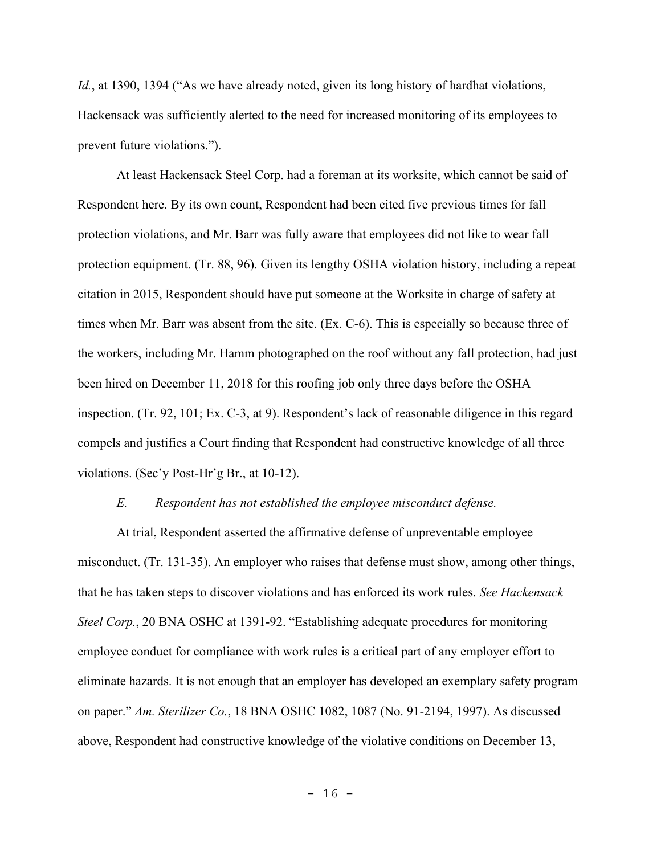*Id.*, at 1390, 1394 ("As we have already noted, given its long history of hardhat violations, Hackensack was sufficiently alerted to the need for increased monitoring of its employees to prevent future violations.").

At least Hackensack Steel Corp. had a foreman at its worksite, which cannot be said of Respondent here. By its own count, Respondent had been cited five previous times for fall protection violations, and Mr. Barr was fully aware that employees did not like to wear fall protection equipment. (Tr. 88, 96). Given its lengthy OSHA violation history, including a repeat citation in 2015, Respondent should have put someone at the Worksite in charge of safety at times when Mr. Barr was absent from the site. (Ex. C-6). This is especially so because three of the workers, including Mr. Hamm photographed on the roof without any fall protection, had just been hired on December 11, 2018 for this roofing job only three days before the OSHA inspection. (Tr. 92, 101; Ex. C-3, at 9). Respondent's lack of reasonable diligence in this regard compels and justifies a Court finding that Respondent had constructive knowledge of all three violations. (Sec'y Post-Hr'g Br., at 10-12).

#### *E. Respondent has not established the employee misconduct defense.*

 At trial, Respondent asserted the affirmative defense of unpreventable employee misconduct. (Tr. 131-35). An employer who raises that defense must show, among other things, that he has taken steps to discover violations and has enforced its work rules. *See Hackensack Steel Corp.*, 20 BNA OSHC at 1391-92. "Establishing adequate procedures for monitoring employee conduct for compliance with work rules is a critical part of any employer effort to eliminate hazards. It is not enough that an employer has developed an exemplary safety program on paper." *Am. Sterilizer Co.*, 18 BNA OSHC 1082, 1087 (No. 91-2194, 1997). As discussed above, Respondent had constructive knowledge of the violative conditions on December 13,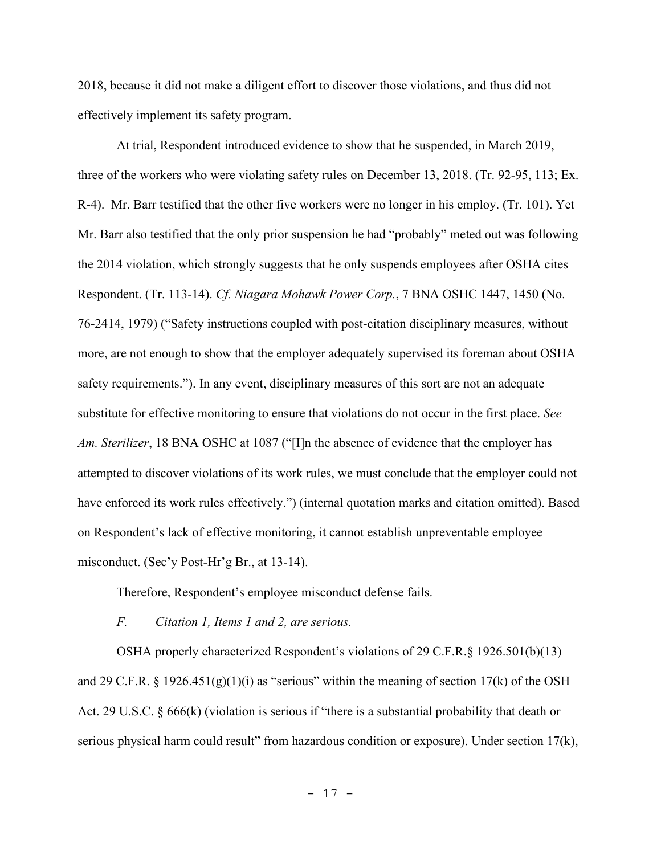2018, because it did not make a diligent effort to discover those violations, and thus did not effectively implement its safety program.

At trial, Respondent introduced evidence to show that he suspended, in March 2019, three of the workers who were violating safety rules on December 13, 2018. (Tr. 92-95, 113; Ex. R-4). Mr. Barr testified that the other five workers were no longer in his employ. (Tr. 101). Yet Mr. Barr also testified that the only prior suspension he had "probably" meted out was following the 2014 violation, which strongly suggests that he only suspends employees after OSHA cites Respondent. (Tr. 113-14). *Cf. Niagara Mohawk Power Corp.*, 7 BNA OSHC 1447, 1450 (No. 76-2414, 1979) ("Safety instructions coupled with post-citation disciplinary measures, without more, are not enough to show that the employer adequately supervised its foreman about OSHA safety requirements."). In any event, disciplinary measures of this sort are not an adequate substitute for effective monitoring to ensure that violations do not occur in the first place. *See Am. Sterilizer*, 18 BNA OSHC at 1087 ("[I]n the absence of evidence that the employer has attempted to discover violations of its work rules, we must conclude that the employer could not have enforced its work rules effectively.") (internal quotation marks and citation omitted). Based on Respondent's lack of effective monitoring, it cannot establish unpreventable employee misconduct. (Sec'y Post-Hr'g Br., at 13-14).

Therefore, Respondent's employee misconduct defense fails.

*F. Citation 1, Items 1 and 2, are serious.* 

 OSHA properly characterized Respondent's violations of 29 C.F.R.§ 1926.501(b)(13) and 29 C.F.R. § 1926.451(g)(1)(i) as "serious" within the meaning of section 17(k) of the OSH Act. 29 U.S.C. § 666(k) (violation is serious if "there is a substantial probability that death or serious physical harm could result" from hazardous condition or exposure). Under section 17(k),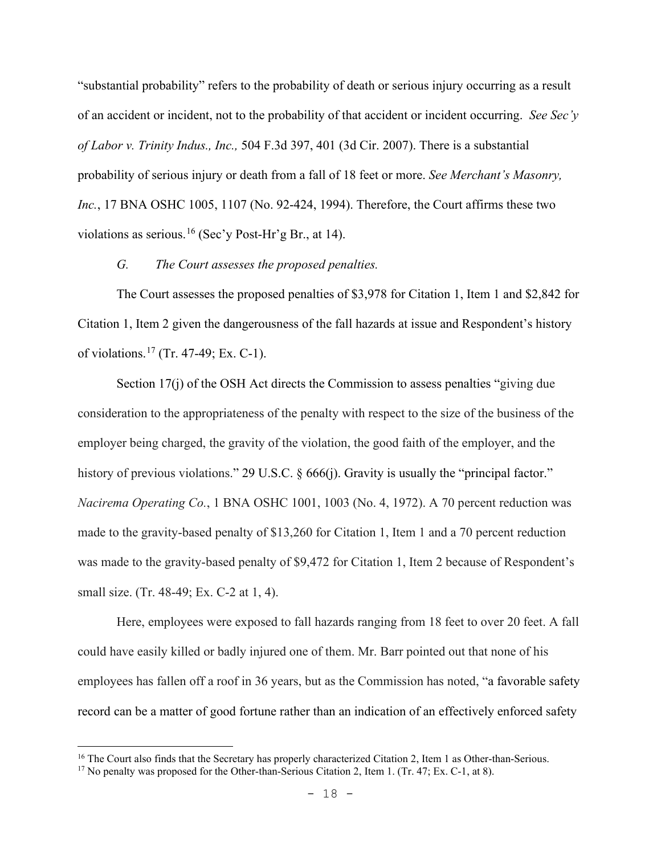"substantial probability" refers to the probability of death or serious injury occurring as a result of an accident or incident, not to the probability of that accident or incident occurring. *See Sec'y of Labor v. Trinity Indus., Inc.,* 504 F.3d 397, 401 (3d Cir. 2007). There is a substantial probability of serious injury or death from a fall of 18 feet or more. *See Merchant's Masonry, Inc.*, 17 BNA OSHC 1005, 1107 (No. 92-424, 1994). Therefore, the Court affirms these two violations as serious.<sup>[16](#page-17-0)</sup> (Sec'y Post-Hr'g Br., at 14).

*G. The Court assesses the proposed penalties.*

The Court assesses the proposed penalties of \$3,978 for Citation 1, Item 1 and \$2,842 for Citation 1, Item 2 given the dangerousness of the fall hazards at issue and Respondent's history of violations.[17](#page-17-1) (Tr. 47-49; Ex. C-1).

Section 17(j) of the OSH Act directs the Commission to assess penalties "giving due consideration to the appropriateness of the penalty with respect to the size of the business of the employer being charged, the gravity of the violation, the good faith of the employer, and the history of previous violations." 29 U.S.C. § 666(j). Gravity is usually the "principal factor." *Nacirema Operating Co.*, 1 BNA OSHC 1001, 1003 (No. 4, 1972). A 70 percent reduction was made to the gravity-based penalty of \$13,260 for Citation 1, Item 1 and a 70 percent reduction was made to the gravity-based penalty of \$9,472 for Citation 1, Item 2 because of Respondent's small size. (Tr. 48-49; Ex. C-2 at 1, 4).

 Here, employees were exposed to fall hazards ranging from 18 feet to over 20 feet. A fall could have easily killed or badly injured one of them. Mr. Barr pointed out that none of his employees has fallen off a roof in 36 years, but as the Commission has noted, "a favorable safety record can be a matter of good fortune rather than an indication of an effectively enforced safety

<span id="page-17-0"></span><sup>&</sup>lt;sup>16</sup> The Court also finds that the Secretary has properly characterized Citation 2, Item 1 as Other-than-Serious.

<span id="page-17-1"></span><sup>&</sup>lt;sup>17</sup> No penalty was proposed for the Other-than-Serious Citation 2, Item 1. (Tr. 47; Ex. C-1, at 8).